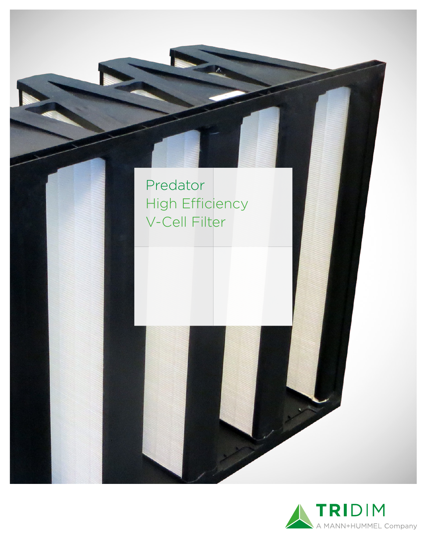

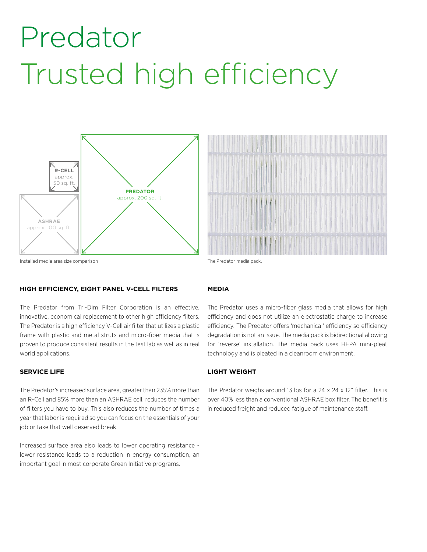## Predator Trusted high efficiency





Installed media area size comparison The Predator media pack

### **HIGH EFFICIENCY, EIGHT PANEL V-CELL FILTERS**

The Predator from Tri-Dim Filter Corporation is an effective, innovative, economical replacement to other high efficiency filters. The Predator is a high efficiency V-Cell air filter that utilizes a plastic frame with plastic and metal struts and micro-fiber media that is proven to produce consistent results in the test lab as well as in real world applications.

### **SERVICE LIFE**

The Predator's increased surface area, greater than 235% more than an R-Cell and 85% more than an ASHRAE cell, reduces the number of filters you have to buy. This also reduces the number of times a year that labor is required so you can focus on the essentials of your job or take that well deserved break.

Increased surface area also leads to lower operating resistance lower resistance leads to a reduction in energy consumption, an important goal in most corporate Green Initiative programs.

### **MEDIA**

The Predator uses a micro-fiber glass media that allows for high efficiency and does not utilize an electrostatic charge to increase efficiency. The Predator offers 'mechanical' efficiency so efficiency degradation is not an issue. The media pack is bidirectional allowing for 'reverse' installation. The media pack uses HEPA mini-pleat technology and is pleated in a cleanroom environment.

## **LIGHT WEIGHT**

The Predator weighs around 13 lbs for a 24 x 24 x 12" filter. This is over 40% less than a conventional ASHRAE box filter. The benefit is in reduced freight and reduced fatigue of maintenance staff.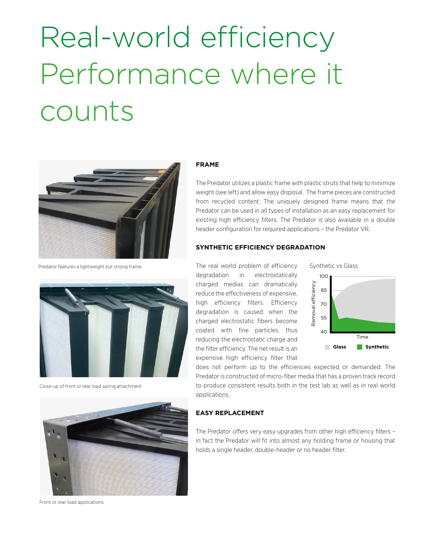## Real-world efficiency Performance where it counts



Predator features a lightweight but strong frame.



Close-up of front or rear load spring attachment



Front or rear load applications

### **FRAME**

The Predator utilizes a plastic frame with plastic struts that help to minimize weight (see left) and allow easy disposal. The frame pieces are constructed from recycled content. The uniquely designed frame means that the Predator can be used in all types of installation as an easy replacement for existing high efficiency filters. The Predator is also available in a double header configuration for required applications – the Predator VR.

## **SYNTHETIC EFFICIENCY DEGRADATION**

The real world problem of efficiency degradation in electrostatically charged medias can dramatically reduce the effectiveness of expensive, high efficiency filters. Efficiency degradation is caused when the charged electrostatic fibers become coated with fine particles, thus reducing the electrostatic charge and the filter efficiency. The net result is an expensive high efficiency filter that charged medias can dramatically<br>
reduce the effectiveness of expensive,<br>
high efficiency filters. Efficiency<br>
degradation is caused when the<br>
charged electrostatic fibers become<br>
coated with fine particles, thus<br>
reducing

Synthetic vs Glass



does not perform up to the efficiencies expected or demanded. The Predator is constructed of micro-fiber media that has a proven track record to produce consistent results both in the test lab as well as in real world applications.

### **EASY REPLACEMENT**

The Predator offers very easy upgrades from other high efficiency filters – in fact the Predator will fit into almost any holding frame or housing that